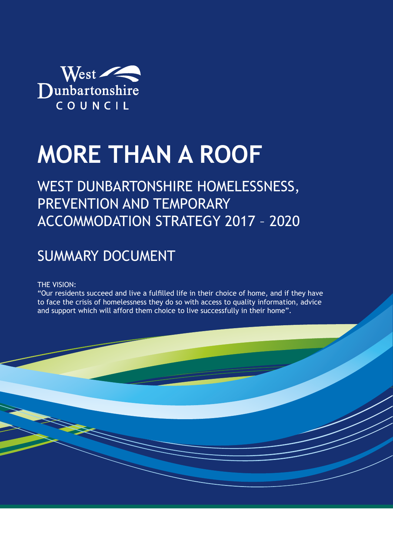

# **MORE THAN A ROOF**

## WEST DUNBARTONSHIRE HOMELESSNESS, PREVENTION AND TEMPORARY ACCOMMODATION STRATEGY 2017 – 2020

### SUMMARY DOCUMENT

#### THE VISION:

"Our residents succeed and live a fulfilled life in their choice of home, and if they have to face the crisis of homelessness they do so with access to quality information, advice and support which will afford them choice to live successfully in their home".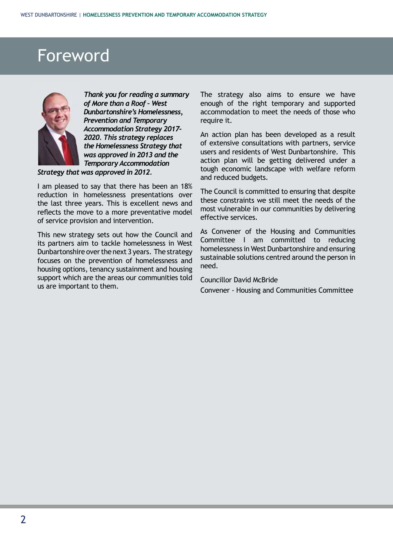# Foreword



*Thank you for reading a summary of More than a Roof – West Dunbartonshire's Homelessness, Prevention and Temporary Accommodation Strategy 2017- 2020. This strategy replaces the Homelessness Strategy that was approved in 2013 and the Temporary Accommodation* 

 *Strategy that was approved in 2012.* 

I am pleased to say that there has been an 18% reduction in homelessness presentations over the last three years. This is excellent news and reflects the move to a more preventative model of service provision and intervention.

 us are important to them. This new strategy sets out how the Council and its partners aim to tackle homelessness in West Dunbartonshire over the next 3 years. The strategy focuses on the prevention of homelessness and housing options, tenancy sustainment and housing support which are the areas our communities told The strategy also aims to ensure we have enough of the right temporary and supported accommodation to meet the needs of those who require it.

 users and residents of West Dunbartonshire. This and reduced budgets. An action plan has been developed as a result of extensive consultations with partners, service action plan will be getting delivered under a tough economic landscape with welfare reform

The Council is committed to ensuring that despite these constraints we still meet the needs of the most vulnerable in our communities by delivering effective services.

 need. As Convener of the Housing and Communities Committee I am committed to reducing homelessness in West Dunbartonshire and ensuring sustainable solutions centred around the person in

Councillor David McBride

Convener - Housing and Communities Committee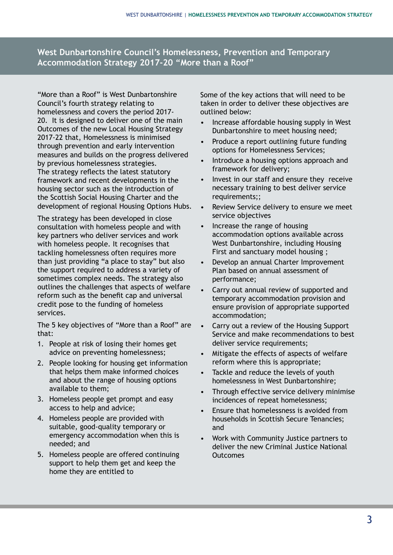#### **West Dunbartonshire Council's Homelessness, Prevention and Temporary Accommodation Strategy 2017-20 "More than a Roof"**

"More than a Roof" is West Dunbartonshire Council's fourth strategy relating to homelessness and covers the period 2017- 20. It is designed to deliver one of the main Outcomes of the new Local Housing Strategy 2017-22 that, Homelessness is minimised through prevention and early intervention measures and builds on the progress delivered by previous homelessness strategies. The strategy reflects the latest statutory framework and recent developments in the housing sector such as the introduction of the Scottish Social Housing Charter and the development of regional Housing Options Hubs.

The strategy has been developed in close consultation with homeless people and with key partners who deliver services and work with homeless people. It recognises that tackling homelessness often requires more than just providing "a place to stay" but also the support required to address a variety of sometimes complex needs. The strategy also outlines the challenges that aspects of welfare reform such as the benefit cap and universal credit pose to the funding of homeless services.

The 5 key objectives of "More than a Roof" are that:

- 1. People at risk of losing their homes get advice on preventing homelessness;
- 2. People looking for housing get information that helps them make informed choices and about the range of housing options available to them;
- 3. Homeless people get prompt and easy access to help and advice;
- 4. Homeless people are provided with suitable, good-quality temporary or emergency accommodation when this is needed; and
- 5. Homeless people are offered continuing support to help them get and keep the home they are entitled to

Some of the key actions that will need to be taken in order to deliver these objectives are outlined below:

- Increase affordable housing supply in West Dunbartonshire to meet housing need;
- Produce a report outlining future funding options for Homelessness Services;
- Introduce a housing options approach and framework for delivery;
- Invest in our staff and ensure they receive necessary training to best deliver service requirements;;
- Review Service delivery to ensure we meet service objectives
- Increase the range of housing accommodation options available across West Dunbartonshire, including Housing First and sanctuary model housing ;
- Develop an annual Charter Improvement Plan based on annual assessment of performance;
- Carry out annual review of supported and temporary accommodation provision and ensure provision of appropriate supported accommodation;
- Carry out a review of the Housing Support Service and make recommendations to best deliver service requirements:
- Mitigate the effects of aspects of welfare reform where this is appropriate;
- Tackle and reduce the levels of youth homelessness in West Dunbartonshire;
- Through effective service delivery minimise incidences of repeat homelessness;
- Ensure that homelessness is avoided from households in Scottish Secure Tenancies; and
- Work with Community Justice partners to deliver the new Criminal Justice National **Outcomes**